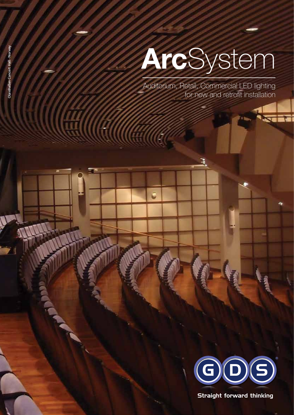# **Arc**System

Auditorium, Retail, Commercial LED lighting for new and retrofit installation

3

G



Straight forward thinking

HIIIG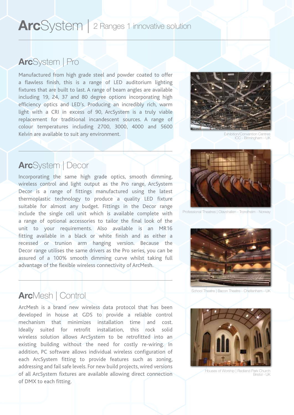# **Arc**System | 2 Ranges 1 innovative solution

### **Arc**System | Pro

Manufactured from high grade steel and powder coated to offer a flawless finish, this is a range of LED auditorium lighting fixtures that are built to last. A range of beam angles are available including 19, 24, 37 and 80 degree options incorporating high efficiency optics and LED's. Producing an incredibly rich, warm light with a CRI in excess of 90, ArcSystem is a truly viable replacement for traditional incandescent sources. A range of colour temperatures including 2700, 3000, 4000 and 5600 Kelvin are available to suit any environment.



Exhibition/Convention Cent ICC - Birmingham - UK

### **Arc**System | Decor

Incorporating the same high grade optics, smooth dimming, wireless control and light output as the Pro range, ArcSystem Decor is a range of fittings manufactured using the latest thermoplastic technology to produce a quality LED fixture suitable for almost any budget. Fittings in the Decor range include the single cell unit which is available complete with a range of optional accessories to tailor the final look of the unit to your requirements. Also available is an MR16 fitting available in a black or white finish and as either a recessed or trunion arm hanging version. Because the Decor range utilises the same drivers as the Pro series, you can be assured of a 100% smooth dimming curve whilst taking full advantage of the flexible wireless connectivity of ArcMesh.



Professional Theatres | Olavshallen - Trondheim - Norway



School Theatre | Bacon Theatre - Cheltenham - UK

# **Arc**Mesh | Control

ArcMesh is a brand new wireless data protocol that has been developed in house at GDS to provide a reliable control mechanism that minimizes installation time and cost. Ideally suited for retrofit installation, this rock solid wireless solution allows ArcSystem to be retrofitted into an existing building without the need for costly re-wiring. In addition, PC software allows individual wireless configuration of each ArcSystem fitting to provide features such as zoning, addressing and fail safe levels. For new build projects, wired versions of all ArcSystem fixtures are available allowing direct connection of DMX to each fitting.



Houses of Worship | Redland Park Church Bristol · UK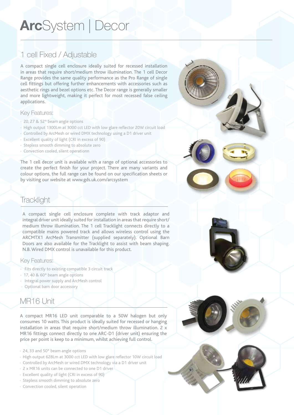# **Arc**System | Decor

### 1 cell Fixed / Adjustable

A compact single cell enclosure ideally suited for recessed installation in areas that require short/medium throw illumination. The 1 cell Decor Range provides the same quality performance as the Pro Range of single cell fittings but offering further enhancements with accessories such as aesthetic rings and bezel options etc. The Decor range is generally smaller and more lightweight, making it perfect for most recessed false ceiling applications.

#### Key Features:

- · 20, 27 & 52º beam angle options
- · High output 1300Lm at 3000 cct LED with low glare reflector 20W circuit load
- · Controlled by ArcMesh or wired DMX technology using a D1 driver unit
- Excellent quality of light (CRI in excess of 90)
- · Stepless smooth dimming to absolute zero
- · Convection cooled, silent operationn

The 1 cell decor unit is available with a range of optional accessories to create the perfect finish for your project. There are many variants and colour options, the full range can be found on our specification sheets or by visiting our website at www.gds.uk.com/arcsystem

### **Tracklight**

A compact single cell enclosure complete with track adaptor and integral driver unit ideally suited for installation in areas that require short/ medium throw illumination. The 1 cell Tracklight connects directly to a compatible mains powered track and allows wireless control using the ARCMTX1 ArcMesh Transmitter (supplied separately). Optional Barn Doors are also available for the Tracklight to assist with beam shaping. N.B. Wired DMX control is unavailable for this product.

#### Key Features:

- · Fits directly to existing compatible 3 circuit track
- · 17, 40 & 60º beam angle options
- · Integral power supply and ArcMesh control
- · Optional barn door accessory

### MR16 Unit

A compact MR16 LED unit comparable to a 50W halogen but only consumes 10 watts. This product is ideally suited for recessed or hanging installation in areas that require short/medium throw illumination. 2 x MR16 fittings connect directly to one ARC-D1 (driver unit) ensuring the price per point is keep to a minimum, whilst achieving full control.

- · 24, 33 and 50º beam angle options
- · High output 628Lm at 3000 cct LED with low glare reflector 10W circuit load
- · Controlled by ArcMesh or wired DMX technology via a D1 driver unit
- · 2 x MR16 units can be connected to one D1 driver
- · Excellent quality of light (CRI in excess of 90)
- · Stepless smooth dimming to absolute zero
- · Convection cooled, silent operation

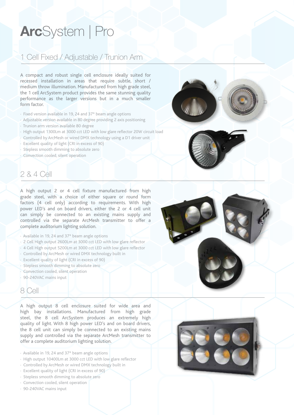# **Arc**System | Pro

### 1 Cell Fixed / Adjustable / Trunion Arm

A compact and robust single cell enclosure ideally suited for recessed installation in areas that require subtle, short / medium throw illumination. Manufactured from high grade steel, the 1 cell ArcSystem product provides the same stunning quality performance as the larger versions but in a much smaller form factor.

- · Fixed version available in 19, 24 and 37º beam angle options
- · Adjustable version available in 80 degree providing 2 axis positioning
- · Trunion arm version available 80 degree
- · High output 1300Lm at 3000 cct LED with low glare reflector 20W circuit load
- Controlled by ArcMesh or wired DMX technology using a D1 driver unit
- · Excellent quality of light (CRI in excess of 90)
- · Stepless smooth dimming to absolute zero
- · Convection cooled, silent operation



### 2 & 4 Cell

A high output 2 or 4 cell fixture manufactured from high grade steel, with a choice of either square or round form factors (4 cell only) according to requirements. With high power LED's and on board drivers, either the 2 or 4 cell unit can simply be connected to an existing mains supply and controlled via the separate ArcMesh transmitter to offer a complete auditorium lighting solution.

- · Available in 19, 24 and 37º beam angle options
- · 2 Cell High output 2600Lm at 3000 cct LED with low glare reflector
- · 4 Cell High output 5200Lm at 3000 cct LED with low glare reflector
- · Controlled by ArcMesh or wired DMX technology built in
- · Excellent quality of light (CRI in excess of 90)
- · Stepless smooth dimming to absolute zero
- · Convection cooled, silent operation
- · 90-240VAC mains input

### 8 Cell

A high output 8 cell enclosure suited for wide area and high bay installations. Manufactured from high grade steel, the 8 cell ArcSystem produces an extremely high quality of light. With 8 high power LED's and on board drivers, the 8 cell unit can simply be connected to an existing mains supply and controlled via the separate ArcMesh transmitter to offer a complete auditorium lighting solution.

- · Available in 19, 24 and 37º beam angle options
- · High output 10400Lm at 3000 cct LED with low glare reflector
- · Controlled by ArcMesh or wired DMX technology built in
- · Excellent quality of light (CRI in excess of 90)
- · Stepless smooth dimming to absolute zero
- · Convection cooled, silent operation
- · 90-240VAC mains input

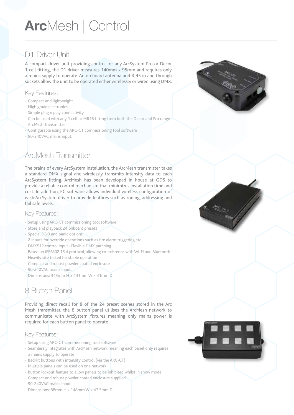# **Arc**Mesh | Control

# D1 Driver Unit

A compact driver unit providing control for any ArcSystem Pro or Decor 1 cell fitting, the D1 driver measures 140mm x 95mm and requires only a mains supply to operate. An on board antenna and RJ45 in and through sockets allow the unit to be operated either wirelessly or wired using DMX.

#### Key Features:

- · Compact and lightweight
- · High grade electronics
- · Simple plug n play connectivity
- · Can be used with any 1 cell or MR16 fitting from both the Decor and Pro range ArcMesh Transmitter
- · Configurable using the ARC-CT commissioning tool software
- · 90-240VAC mains input.

# ArcMesh Transmitter

The brains of every ArcSystem installation, the ArcMesh transmitter takes a standard DMX signal and wirelessly transmits intensity data to each ArcSystem fitting. ArcMesh has been developed in house at GDS to provide a reliable control mechanism that minimizes installation time and cost. In addition, PC software allows individual wireless configuration of each ArcSystem driver to provide features such as zoning, addressing and fail safe levels.

#### Key Features:

- · Setup using ARC-CT commissioning tool software
- · Store and playback 24 onboard presets
- · Special DBO and panic options
- 2 inputs for override operations such as fire alarm triggering etc
- · DMX512 control input · Flexible DMX patching
- · Based on IEEE802.15.4 protocol, allowing co-existence with Wi-Fi and Bluetooth
- · Heavily site tested for stable operation
- · Compact and robust powder coated enclosure
- 90-240VAC mains input.
- · Dimensions: 343mm H x 141mm W x 41mm D

# 8 Button Panel

Providing direct recall for 8 of the 24 preset scenes stored in the Arc Mesh transmitter, the 8 button panel utilises the ArcMesh network to communicate with ArcSystem fixtures meaning only mains power is required for each button panel to operate

#### Key Features:

- · Setup using ARC-CT commissioning tool software
- · Seamlessly integrates with ArcMesh network meaning each panel only requires a mains supply to operate
- · Backlit buttons with intensity control (via the ARC-CT)
- · Multiple panels can be used on one network
- · Button lockout feature to allow panels to be inhibited whilst in show mode
- · Compact and robust powder coated enclosure supplied
- · 90-240VAC mains input
- · Dimensions: 88mm H x 148mm W x 47.5mm D